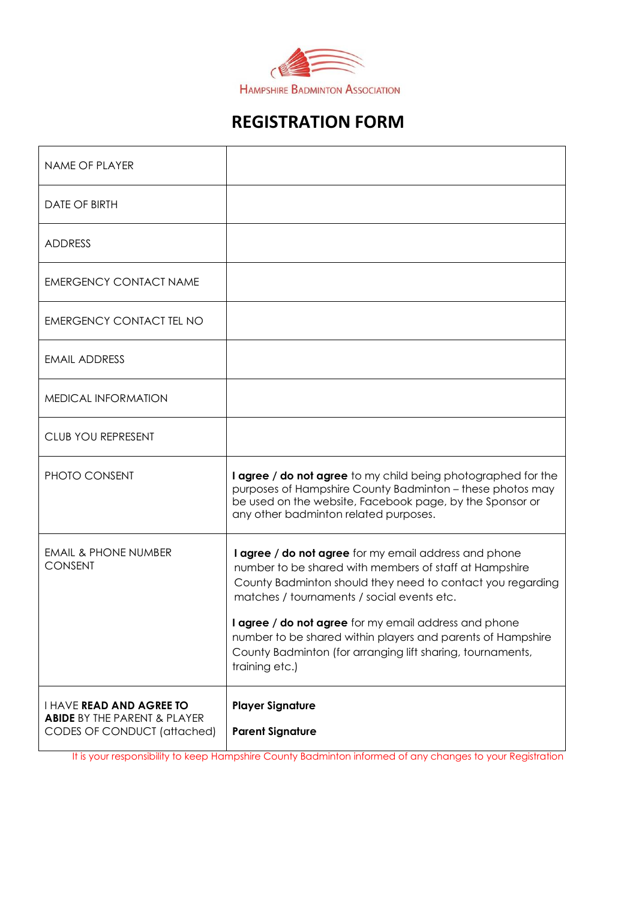

# **REGISTRATION FORM**

| <b>NAME OF PLAYER</b>                                                                                     |                                                                                                                                                                                                                                                                                                                                                                                                                                     |
|-----------------------------------------------------------------------------------------------------------|-------------------------------------------------------------------------------------------------------------------------------------------------------------------------------------------------------------------------------------------------------------------------------------------------------------------------------------------------------------------------------------------------------------------------------------|
| <b>DATE OF BIRTH</b>                                                                                      |                                                                                                                                                                                                                                                                                                                                                                                                                                     |
| <b>ADDRESS</b>                                                                                            |                                                                                                                                                                                                                                                                                                                                                                                                                                     |
| <b>EMERGENCY CONTACT NAME</b>                                                                             |                                                                                                                                                                                                                                                                                                                                                                                                                                     |
| <b>EMERGENCY CONTACT TEL NO</b>                                                                           |                                                                                                                                                                                                                                                                                                                                                                                                                                     |
| <b>EMAIL ADDRESS</b>                                                                                      |                                                                                                                                                                                                                                                                                                                                                                                                                                     |
| MEDICAL INFORMATION                                                                                       |                                                                                                                                                                                                                                                                                                                                                                                                                                     |
| <b>CLUB YOU REPRESENT</b>                                                                                 |                                                                                                                                                                                                                                                                                                                                                                                                                                     |
| PHOTO CONSENT                                                                                             | <b>I agree / do not agree</b> to my child being photographed for the<br>purposes of Hampshire County Badminton - these photos may<br>be used on the website, Facebook page, by the Sponsor or<br>any other badminton related purposes.                                                                                                                                                                                              |
| <b>EMAIL &amp; PHONE NUMBER</b><br><b>CONSENT</b>                                                         | I agree / do not agree for my email address and phone<br>number to be shared with members of staff at Hampshire<br>County Badminton should they need to contact you regarding<br>matches / tournaments / social events etc.<br>I agree / do not agree for my email address and phone<br>number to be shared within players and parents of Hampshire<br>County Badminton (for arranging lift sharing, tournaments,<br>training etc.) |
| <b>I HAVE READ AND AGREE TO</b><br><b>ABIDE BY THE PARENT &amp; PLAYER</b><br>CODES OF CONDUCT (attached) | <b>Player Signature</b><br><b>Parent Signature</b>                                                                                                                                                                                                                                                                                                                                                                                  |

It is your responsibility to keep Hampshire County Badminton informed of any changes to your Registration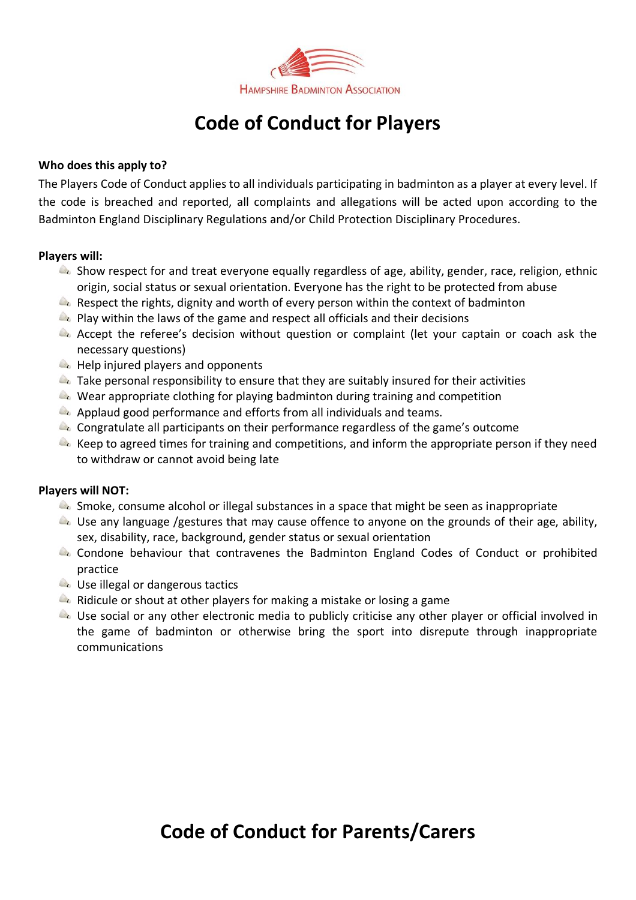

# **Code of Conduct for Players**

# **Who does this apply to?**

The Players Code of Conduct applies to all individuals participating in badminton as a player at every level. If the code is breached and reported, all complaints and allegations will be acted upon according to the Badminton England Disciplinary Regulations and/or Child Protection Disciplinary Procedures.

# **Players will:**

- **A** Show respect for and treat everyone equally regardless of age, ability, gender, race, religion, ethnic origin, social status or sexual orientation. Everyone has the right to be protected from abuse
- $\bullet$  Respect the rights, dignity and worth of every person within the context of badminton
- $\bullet$  Play within the laws of the game and respect all officials and their decisions
- Accept the referee's decision without question or complaint (let your captain or coach ask the necessary questions)
- $\blacktriangle$  Help injured players and opponents
- $\triangle$  Take personal responsibility to ensure that they are suitably insured for their activities
- $\triangle$ . Wear appropriate clothing for playing badminton during training and competition
- Applaud good performance and efforts from all individuals and teams.
- $\triangle$  Congratulate all participants on their performance regardless of the game's outcome
- $\triangle$  Keep to agreed times for training and competitions, and inform the appropriate person if they need to withdraw or cannot avoid being late

#### **Players will NOT:**

- $\blacktriangle$  Smoke, consume alcohol or illegal substances in a space that might be seen as inappropriate
- $\bullet$  Use any language /gestures that may cause offence to anyone on the grounds of their age, ability, sex, disability, race, background, gender status or sexual orientation
- **A** Condone behaviour that contravenes the Badminton England Codes of Conduct or prohibited practice
- **L** Use illegal or dangerous tactics
- **A** Ridicule or shout at other players for making a mistake or losing a game
- **A** Use social or any other electronic media to publicly criticise any other player or official involved in the game of badminton or otherwise bring the sport into disrepute through inappropriate communications